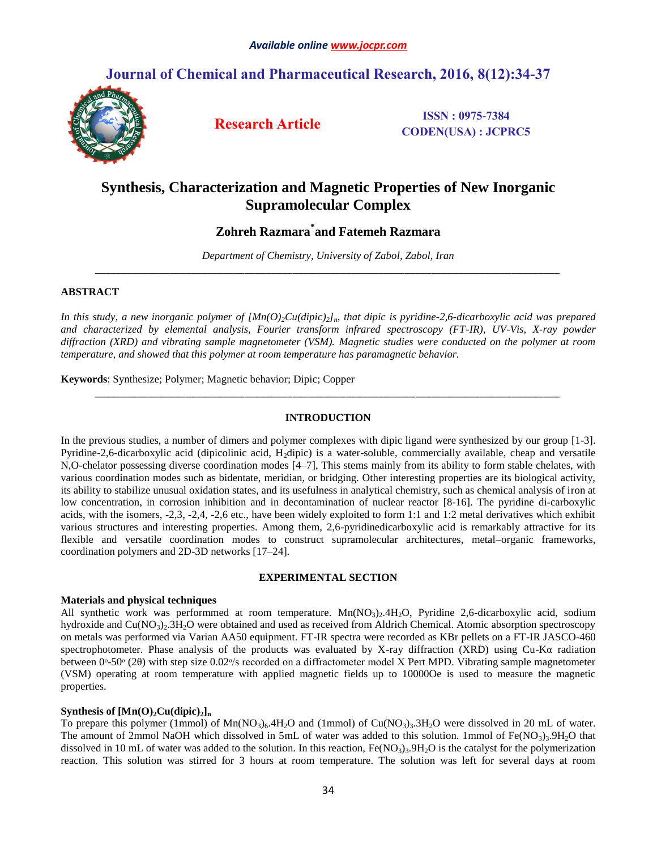# **Journal of Chemical and Pharmaceutical Research, 2016, 8(12):34-37**



**Research Article ISSN : 0975-7384 CODEN(USA) : JCPRC5**

# **Synthesis, Characterization and Magnetic Properties of New Inorganic Supramolecular Complex**

# **Zohreh Razmara\* and Fatemeh Razmara**

*Department of Chemistry, University of Zabol, Zabol, Iran \_\_\_\_\_\_\_\_\_\_\_\_\_\_\_\_\_\_\_\_\_\_\_\_\_\_\_\_\_\_\_\_\_\_\_\_\_\_\_\_\_\_\_\_\_\_\_\_\_\_\_\_\_\_\_\_\_\_\_\_\_\_\_\_\_\_\_\_\_\_\_\_\_\_\_\_\_\_\_\_\_\_\_\_\_\_\_*

### **ABSTRACT**

*In this study, a new inorganic polymer of*  $[Mn(O)_2Cu(dipic)_2]$ *<sub><i>n*</sub>, that dipic is pyridine-2,6-dicarboxylic acid was prepared *and characterized by elemental analysis, Fourier transform infrared spectroscopy (FT-IR), UV-Vis, X-ray powder diffraction (XRD) and vibrating sample magnetometer (VSM). Magnetic studies were conducted on the polymer at room temperature, and showed that this polymer at room temperature has paramagnetic behavior.*

**Keywords**: Synthesize; Polymer; Magnetic behavior; Dipic; Copper

### **INTRODUCTION**

*\_\_\_\_\_\_\_\_\_\_\_\_\_\_\_\_\_\_\_\_\_\_\_\_\_\_\_\_\_\_\_\_\_\_\_\_\_\_\_\_\_\_\_\_\_\_\_\_\_\_\_\_\_\_\_\_\_\_\_\_\_\_\_\_\_\_\_\_\_\_\_\_\_\_\_\_\_\_\_\_\_\_\_\_\_\_\_*

In the previous studies, a number of dimers and polymer complexes with dipic ligand were synthesized by our group [1-3]. Pyridine-2,6-dicarboxylic acid (dipicolinic acid, H2dipic) is a water-soluble, commercially available, cheap and versatile N,O-chelator possessing diverse coordination modes [4–7], This stems mainly from its ability to form stable chelates, with various coordination modes such as bidentate, meridian, or bridging. Other interesting properties are its biological activity, its ability to stabilize unusual oxidation states, and its usefulness in analytical chemistry, such as chemical analysis of iron at low concentration, in corrosion inhibition and in decontamination of nuclear reactor [8-16]. The pyridine di-carboxylic acids, with the isomers, -2,3, -2,4, -2,6 etc., have been widely exploited to form 1:1 and 1:2 metal derivatives which exhibit various structures and interesting properties. Among them, 2,6-pyridinedicarboxylic acid is remarkably attractive for its flexible and versatile coordination modes to construct supramolecular architectures, metal–organic frameworks, coordination polymers and 2D-3D networks [17–24].

#### **EXPERIMENTAL SECTION**

#### **Materials and physical techniques**

All synthetic work was performmed at room temperature.  $Mn(NO<sub>3</sub>)<sub>2</sub>4H<sub>2</sub>O$ , Pyridine 2,6-dicarboxylic acid, sodium hydroxide and  $Cu(NO<sub>3</sub>)<sub>2</sub>$ .3H<sub>2</sub>O were obtained and used as received from Aldrich Chemical. Atomic absorption spectroscopy on metals was performed via Varian AA50 equipment. FT-IR spectra were recorded as KBr pellets on a FT-IR JASCO-460 spectrophotometer. Phase analysis of the products was evaluated by X-ray diffraction (XRD) using Cu-Kα radiation between  $0^\circ$ -50 $^\circ$  (2 $\theta$ ) with step size 0.02 $^\circ$ /s recorded on a diffractometer model X Pert MPD. Vibrating sample magnetometer (VSM) operating at room temperature with applied magnetic fields up to 10000Oe is used to measure the magnetic properties.

### **Synthesis of**  $[Mn(O)_2Cu(dipic)_2]_n$

To prepare this polymer (1mmol) of  $Mn(NO_3)_6.4H_2O$  and (1mmol) of  $Cu(NO_3)_3.3H_2O$  were dissolved in 20 mL of water. The amount of 2mmol NaOH which dissolved in 5mL of water was added to this solution. 1mmol of  $Fe(NO<sub>3</sub>)<sub>3</sub>$ .9H<sub>2</sub>O that dissolved in 10 mL of water was added to the solution. In this reaction,  $Fe(NO<sub>3</sub>)<sub>3</sub>9H<sub>2</sub>O$  is the catalyst for the polymerization reaction. This solution was stirred for 3 hours at room temperature. The solution was left for several days at room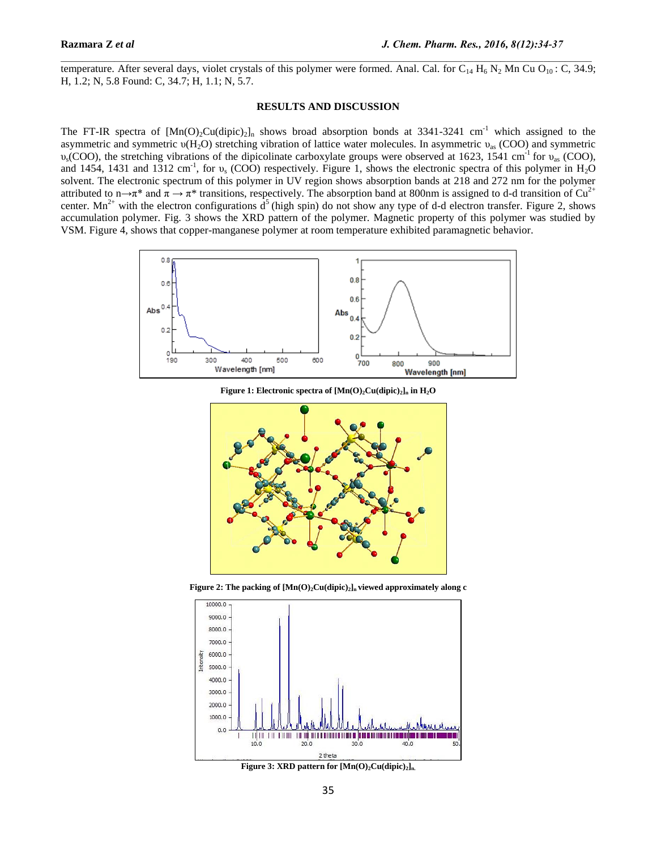temperature. After several days, violet crystals of this polymer were formed. Anal. Cal. for  $C_{14}$  H<sub>6</sub> N<sub>2</sub> Mn Cu O<sub>10</sub>: C, 34.9; H, 1.2; N, 5.8 Found: C, 34.7; H, 1.1; N, 5.7.

## **RESULTS AND DISCUSSION**

The FT-IR spectra of  $[Mn(O)_2Cu(dipic)_2]_n$  shows broad absorption bonds at 3341-3241 cm<sup>-1</sup> which assigned to the asymmetric and symmetric  $\nu(H_2O)$  stretching vibration of lattice water molecules. In asymmetric  $\nu_{\text{as}}$  (COO) and symmetric  $v_s$ (COO), the stretching vibrations of the dipicolinate carboxylate groups were observed at 1623, 1541 cm<sup>-1</sup> for  $v_{as}$  (COO), and 1454, 1431 and 1312 cm<sup>-1</sup>, for  $v_s$  (COO) respectively. Figure 1, shows the electronic spectra of this polymer in H<sub>2</sub>O solvent. The electronic spectrum of this polymer in UV region shows absorption bands at 218 and 272 nm for the polymer attributed to n→π<sup>\*</sup> and  $\pi \to \pi^*$  transitions, respectively. The absorption band at 800nm is assigned to d-d transition of Cu<sup>2+</sup> center. Mn<sup>2+</sup> with the electron configurations  $d^5$  (high spin) do not show any type of d-d electron transfer. Figure 2, shows accumulation polymer. Fig. 3 shows the XRD pattern of the polymer. Magnetic property of this polymer was studied by VSM. Figure 4, shows that copper-manganese polymer at room temperature exhibited paramagnetic behavior.



**Figure 1: Electronic spectra of [Mn(O)2Cu(dipic)2]<sup>n</sup> in H2O**



**Figure 2: The packing of [Mn(O)2Cu(dipic)2]n viewed approximately along c**



**Figure 3: XRD pattern for [Mn(O)2Cu(dipic)2]n.**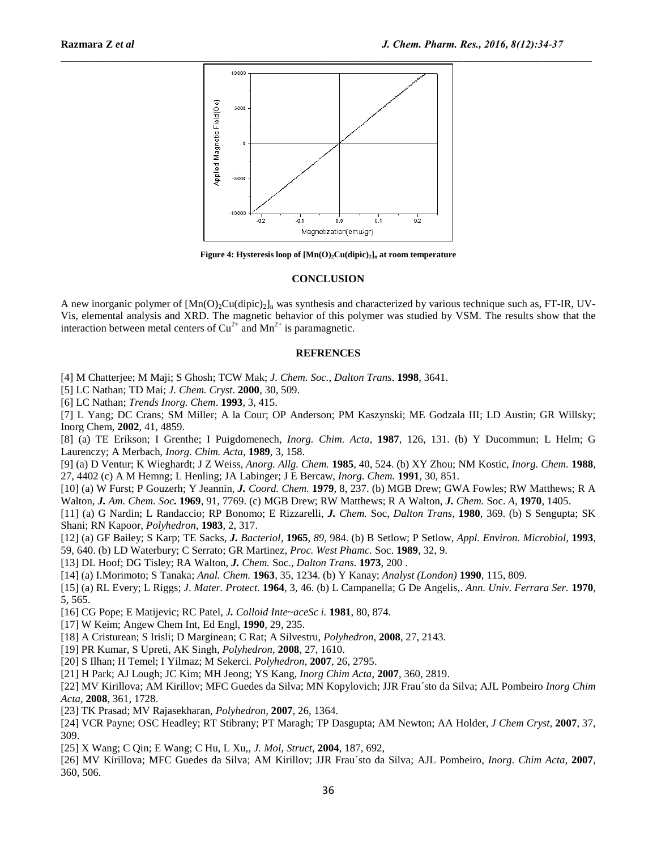

**Figure 4: Hysteresis loop of [Mn(O)2Cu(dipic)2]<sup>n</sup> at room temperature**

#### **CONCLUSION**

A new inorganic polymer of  $[Mn(O)_2Cu(dipic)_2]_n$  was synthesis and characterized by various technique such as, FT-IR, UV-Vis, elemental analysis and XRD. The magnetic behavior of this polymer was studied by VSM. The results show that the interaction between metal centers of  $Cu^{2+}$  and  $Mn^{2+}$  is paramagnetic.

#### **REFRENCES**

[4] M Chatterjee; M Maji; S Ghosh; TCW Mak; *J. Chem. Soc., Dalton Trans*. **1998**, 3641.

[5] LC Nathan; TD Mai; *J. Chem. Cryst*. **2000**, 30, 509.

[6] LC Nathan; *Trends Inorg. Chem*. **1993**, 3, 415.

[7] L Yang; DC Crans; SM Miller; A la Cour; OP Anderson; PM Kaszynski; ME Godzala III; LD Austin; GR Willsky; Inorg Chem, **2002**, 41, 4859.

[8] (a) TE Erikson; I Grenthe; I Puigdomenech, *Inorg. Chim. Acta,* **1987**, 126, 131. (b) Y Ducommun; L Helm; G Laurenczy; A Merbach, *Inorg. Chim. Acta,* **1989**, 3, 158.

[9] (a) D Ventur; K Wieghardt; J Z Weiss, *Anorg. Allg. Chem.* **1985**, 40, 524. (b) XY Zhou; NM Kostic, *Inorg. Chem.* **1988**, 27, 4402 (c) A M Hemng; L Henling; JA Labinger; J E Bercaw, *Inorg. Chem.* **1991**, 30, 851.

[10] (a) W Furst; P Gouzerh; Y Jeannin, *J. Coord. Chem.* **1979**, 8, 237. (b) MGB Drew; GWA Fowles; RW Matthews; R A Walton, *J. Am. Chem. Soc.* **1969**, 91, 7769. (c) MGB Drew; RW Matthews; R A Walton, *J. Chem.* Soc. *A,* **1970**, 1405.

[11] (a) G Nardin; L Randaccio; RP Bonomo; E Rizzarelli, *J. Chem.* Soc, *Dalton Trans,* **1980**, 369. (b) S Sengupta; SK Shani; RN Kapoor, *Polyhedron,* **1983**, 2, 317.

[12] (a) GF Bailey; S Karp; TE Sacks, *J. Bacteriol,* **1965**, *89,* 984. (b) B Setlow; P Setlow, *Appl. Environ. Microbiol,* **1993**, 59, 640. (b) LD Waterbury; C Serrato; GR Martinez, *Proc. West Phamc.* Soc. **1989**, 32, 9.

[13] DL Hoof; DG Tisley; RA Walton, *J. Chem.* Soc., *Dalton Trans.* **1973**, 200 .

[14] (a) I.Morimoto; S Tanaka; *Anal. Chem.* **1963**, 35, 1234. (b) Y Kanay; *Analyst (London)* **1990**, 115, 809.

[15] (a) RL Every; L Riggs; *J*. *Mater. Protect.* **1964**, 3, 46. (b) L Campanella; G De Angelis,. *Ann. Univ. Ferrara Ser.* **1970**, 5, 565.

[16] CG Pope; E Matijevic; RC Patel, *J. Colloid Inte~aceSc i.* **1981**, 80, 874.

[17] W Keim; Angew Chem Int, Ed Engl, **1990**, 29, 235.

[18] A Cristurean; S Irisli; D Marginean; C Rat; A Silvestru, *Polyhedron,* **2008**, 27, 2143.

[19] PR Kumar, S Upreti, AK Singh, *Polyhedron,* **2008**, 27, 1610.

[20] S Ilhan; H Temel; I Yilmaz; M Sekerci. *Polyhedron,* **2007**, 26, 2795.

[21] H Park; AJ Lough; JC Kim; MH Jeong; YS Kang, *Inorg Chim Acta,* **2007**, 360, 2819.

[22] MV Kirillova; AM Kirillov; MFC Guedes da Silva; MN Kopylovich; JJR Frau´sto da Silva; AJL Pombeiro *Inorg Chim Acta,* **2008**, 361, 1728.

[23] TK Prasad; MV Rajasekharan, *Polyhedron,* **2007**, 26, 1364.

[24] VCR Payne; OSC Headley; RT Stibrany; PT Maragh; TP Dasgupta; AM Newton; AA Holder, *J Chem Cryst*, **2007**, 37, 309.

[25] X Wang; C Qin; E Wang; C Hu, L Xu,, *J. Mol, Struct,* **2004**, 187, 692,

[26] MV Kirillova; MFC Guedes da Silva; AM Kirillov; JJR Frau´sto da Silva; AJL Pombeiro, *Inorg. Chim Acta,* **2007**, 360, 506.